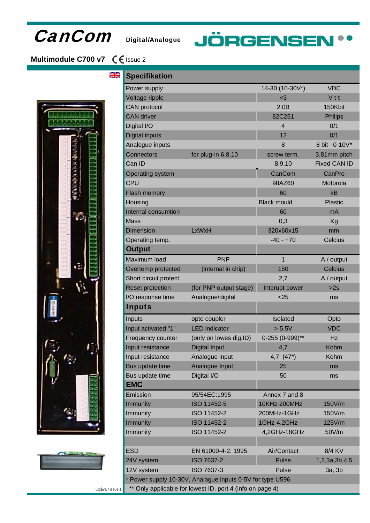## CanCom Digital/Analogue

# **JÖRGENSEN\*\***

## **Multimodule C700 v7** € Issue 2

ale<br>ale





| <b>Specifikation</b>                                      |                        |                    |                     |
|-----------------------------------------------------------|------------------------|--------------------|---------------------|
| Power supply                                              |                        | 14-30 (10-30V*)    | <b>VDC</b>          |
| Voltage ripple                                            |                        | $3$                | $V$ t-t             |
| <b>CAN</b> protocol                                       |                        | 2.0B               | 150Kbit             |
| <b>CAN</b> driver                                         |                        | 82C251             | <b>Philips</b>      |
| Digital I/O                                               |                        | 4                  | 0/1                 |
| <b>Digital inputs</b>                                     |                        | 12                 | 0/1                 |
| Analogue inputs                                           |                        | 8                  | 8 bit 0-10V*        |
| <b>Connectors</b>                                         | for plug-in 6,8,10     | screw term.        | 3.81mm pitch        |
| Can ID                                                    |                        | 8,9,10             | <b>Fixed CAN ID</b> |
| <b>Operating system</b>                                   |                        | CanCom             | CanPro              |
| <b>CPU</b>                                                |                        | 98AZ60             | Motorola            |
| Flash memory                                              |                        | 60                 | kB                  |
| Housing                                                   |                        | <b>Black mould</b> | <b>Plastic</b>      |
| Internal consumtion                                       |                        | 60                 | mA                  |
| <b>Mass</b>                                               |                        | 0,3                | Kg                  |
| <b>Dimension</b>                                          | LxWxH                  | 320x60x15          | mm                  |
| Operating temp.                                           |                        | $-40 - +70$        | Celcius             |
| <b>Output</b>                                             |                        |                    |                     |
| Maximum load                                              | <b>PNP</b>             | 1                  | A / output          |
| Overtemp protected                                        | (internal in chip)     | 150                | <b>Celcius</b>      |
| Short circuit protect                                     |                        | 2,7                | A / output          |
| <b>Reset protection</b>                                   | (for PNP output stage) | Interupt power     | >2s                 |
| I/O response time                                         | Analogue/digital       | $25$               | ms                  |
| <b>Inputs</b>                                             |                        |                    |                     |
| Inputs                                                    | opto coupler           | Isolated           | Opto                |
| Input activated "1"                                       | <b>LED</b> indicator   | > 5.5V             | <b>VDC</b>          |
| Frequency counter                                         | (only on lowes dig.ID) | 0-255 (0-999)**    | Hz                  |
| Input resistance                                          | <b>Digital Input</b>   | 4,7                | Kohm                |
| Input resistance                                          | Analogue input         | 4,7 $(47*)$        | Kohm                |
| Bus update time                                           | Analogue Input         | 25                 | ms                  |
| Bus update time                                           | Digital I/O            | 50                 | ms                  |
| <b>EMC</b>                                                |                        |                    |                     |
| Emission                                                  | 95/54EC:1995           | Annex 7 and 8      |                     |
| <b>Immunity</b>                                           | ISO 11452-5            | 10KHz-200MHz       | 150V/m              |
| Immunity                                                  | ISO 11452-2            | 200MHz-1GHz        | 150V/m              |
| Immunity                                                  | ISO 11452-2            | 1GHz-4.2GHz        | 125V/m              |
| Immunity                                                  | ISO 11452-2            | 4,2GHz-18GHz       | 50V/m               |
|                                                           |                        |                    |                     |
| <b>ESD</b>                                                | EN 61000-4-2: 1995     | Air/Contact        | 8/4 KV              |
| 24V system                                                | ISO 7637-2             | <b>Pulse</b>       | 1,2,3a,3b,4,5       |
| 12V system                                                | ISO 7637-3             | Pulse              | 3a, 3b              |
| * Power supply 10-30V, Analogue inputs 0-5V for type U596 |                        |                    |                     |
| ** Only applicable for lowest ID, port 4 (info on page 4) |                        |                    |                     |

utgåva / issue 1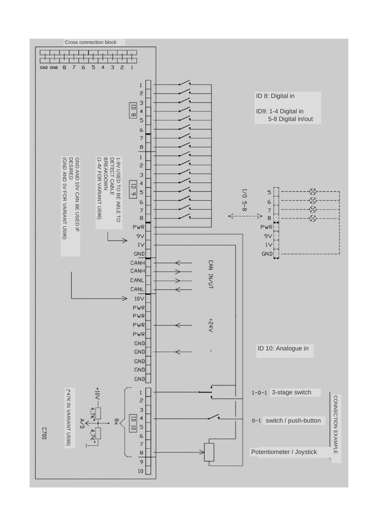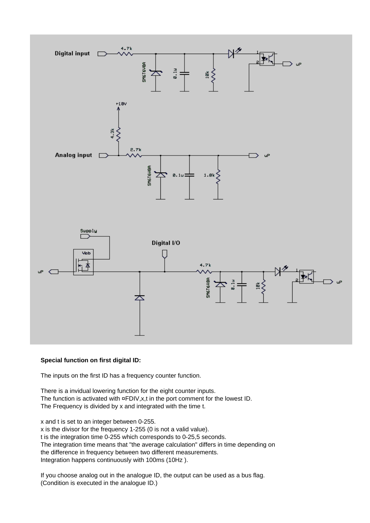

#### **Special function on first digital ID:**

The inputs on the first ID has a frequency counter function.

There is a invidual lowering function for the eight counter inputs. The function is activated with ¤FDIV, x, t in the port comment for the lowest ID. The Frequency is divided by x and integrated with the time t.

x and t is set to an integer between 0-255. x is the divisor for the frequency 1-255 (0 is not a valid value). t is the integration time 0-255 which corresponds to 0-25,5 seconds. The integration time means that "the average calculation" differs in time depending on the difference in frequency between two different measurements. Integration happens continuously with 100ms (10Hz ).

If you choose analog out in the analogue ID, the output can be used as a bus flag. (Condition is executed in the analogue ID.)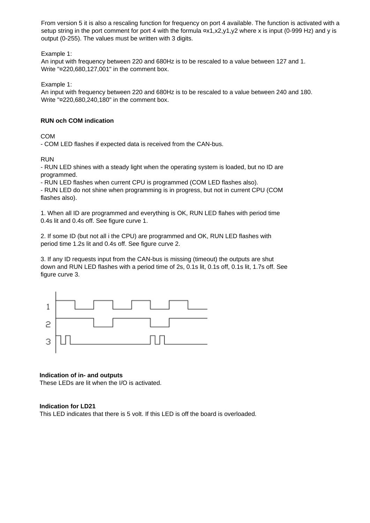From version 5 it is also a rescaling function for frequency on port 4 available. The function is activated with a setup string in the port comment for port 4 with the formula  $\alpha x_1, x_2, y_1, y_2$  where x is input (0-999 Hz) and y is output (0-255). The values must be written with 3 digits.

Example 1:

An input with frequency between 220 and 680Hz is to be rescaled to a value between 127 and 1. Write "¤220,680,127,001" in the comment box.

Example 1:

An input with frequency between 220 and 680Hz is to be rescaled to a value between 240 and 180. Write "¤220,680,240,180" in the comment box.

#### **RUN och COM indication**

COM

- COM LED flashes if expected data is received from the CAN-bus.

RUN

- RUN LED shines with a steady light when the operating system is loaded, but no ID are programmed.

- RUN LED flashes when current CPU is programmed (COM LED flashes also).

- RUN LED do not shine when programming is in progress, but not in current CPU (COM flashes also).

1. When all ID are programmed and everything is OK, RUN LED flahes with period time 0.4s lit and 0.4s off. See figure curve 1.

2. If some ID (but not all i the CPU) are programmed and OK, RUN LED flashes with period time 1.2s lit and 0.4s off. See figure curve 2.

3. If any ID requests input from the CAN-bus is missing (timeout) the outputs are shut down and RUN LED flashes with a period time of 2s, 0.1s lit, 0.1s off, 0.1s lit, 1.7s off. See figure curve 3.



#### **Indication of in- and outputs**

These LEDs are lit when the I/O is activated.

#### **Indication for LD21**

This LED indicates that there is 5 volt. If this LED is off the board is overloaded.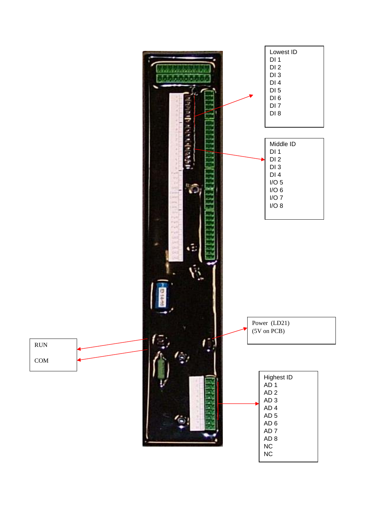